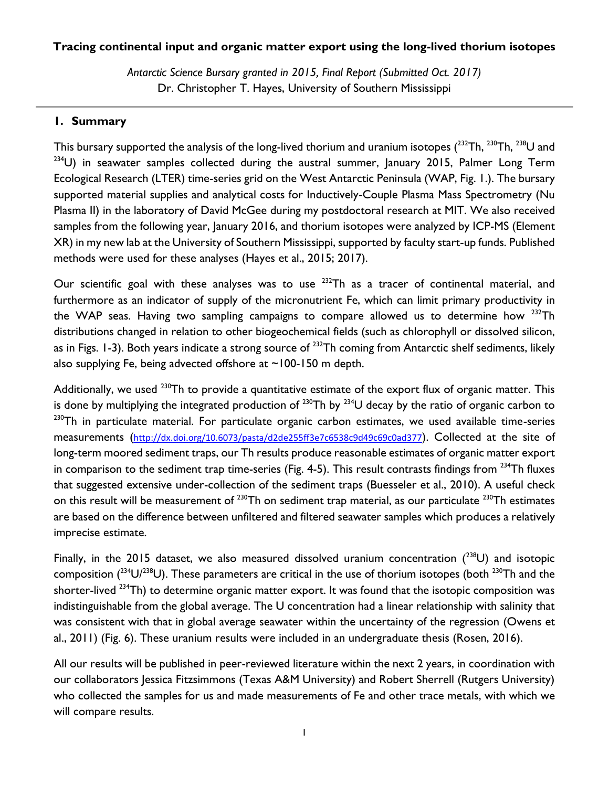## **Tracing continental input and organic matter export using the long-lived thorium isotopes**

*Antarctic Science Bursary granted in 2015, Final Report (Submitted Oct. 2017)* Dr. Christopher T. Hayes, University of Southern Mississippi

## **1. Summary**

This bursary supported the analysis of the long-lived thorium and uranium isotopes ( $^{232}$ Th,  $^{230}$ Th,  $^{238}$ U and  $234$ U) in seawater samples collected during the austral summer, January 2015, Palmer Long Term Ecological Research (LTER) time-series grid on the West Antarctic Peninsula (WAP, Fig. 1.). The bursary supported material supplies and analytical costs for Inductively-Couple Plasma Mass Spectrometry (Nu Plasma II) in the laboratory of David McGee during my postdoctoral research at MIT. We also received samples from the following year, January 2016, and thorium isotopes were analyzed by ICP-MS (Element XR) in my new lab at the University of Southern Mississippi, supported by faculty start-up funds. Published methods were used for these analyses (Hayes et al., 2015; 2017).

Our scientific goal with these analyses was to use  $^{232}$ Th as a tracer of continental material, and furthermore as an indicator of supply of the micronutrient Fe, which can limit primary productivity in the WAP seas. Having two sampling campaigns to compare allowed us to determine how  $^{232}$ Th distributions changed in relation to other biogeochemical fields (such as chlorophyll or dissolved silicon, as in Figs. 1-3). Both years indicate a strong source of <sup>232</sup>Th coming from Antarctic shelf sediments, likely also supplying Fe, being advected offshore at  $\sim$ 100-150 m depth.

Additionally, we used  $^{230}$ Th to provide a quantitative estimate of the export flux of organic matter. This is done by multiplying the integrated production of  $^{230}$ Th by  $^{234}$ U decay by the ratio of organic carbon to  $230$ Th in particulate material. For particulate organic carbon estimates, we used available time-series measurements (<http://dx.doi.org/10.6073/pasta/d2de255ff3e7c6538c9d49c69c0ad377>). Collected at the site of long-term moored sediment traps, our Th results produce reasonable estimates of organic matter export in comparison to the sediment trap time-series (Fig. 4-5). This result contrasts findings from  $^{234}$ Th fluxes that suggested extensive under-collection of the sediment traps (Buesseler et al., 2010). A useful check on this result will be measurement of  $^{230}$ Th on sediment trap material, as our particulate  $^{230}$ Th estimates are based on the difference between unfiltered and filtered seawater samples which produces a relatively imprecise estimate.

Finally, in the 2015 dataset, we also measured dissolved uranium concentration  $(^{238}U)$  and isotopic composition ( $^{234}$ U/ $^{238}$ U). These parameters are critical in the use of thorium isotopes (both  $^{230}$ Th and the shorter-lived <sup>234</sup>Th) to determine organic matter export. It was found that the isotopic composition was indistinguishable from the global average. The U concentration had a linear relationship with salinity that was consistent with that in global average seawater within the uncertainty of the regression (Owens et al., 2011) (Fig. 6). These uranium results were included in an undergraduate thesis (Rosen, 2016).

All our results will be published in peer-reviewed literature within the next 2 years, in coordination with our collaborators Jessica Fitzsimmons (Texas A&M University) and Robert Sherrell (Rutgers University) who collected the samples for us and made measurements of Fe and other trace metals, with which we will compare results.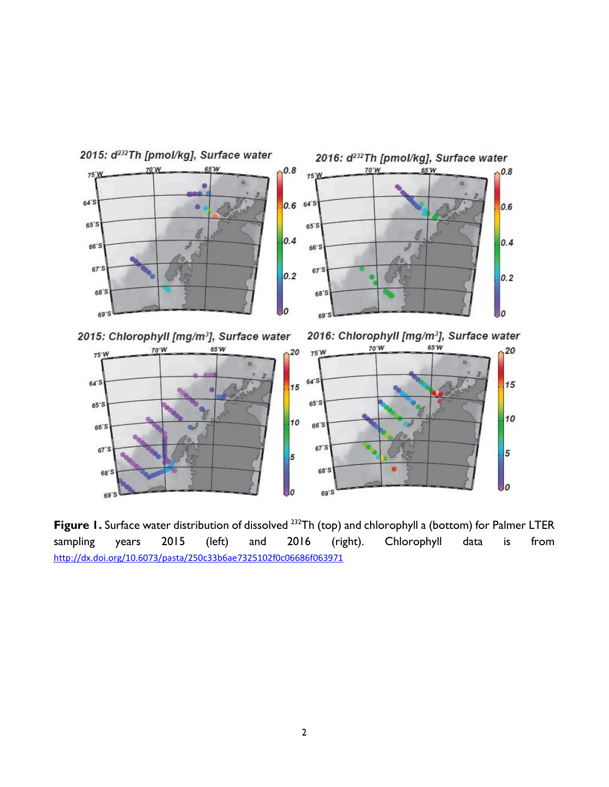

**Figure 1.** Surface water distribution of dissolved <sup>232</sup>Th (top) and chlorophyll a (bottom) for Palmer LTER sampling years 2015 (left) and 2016 (right). Chlorophyll data is from <http://dx.doi.org/10.6073/pasta/250c33b6ae7325102f0c06686f063971>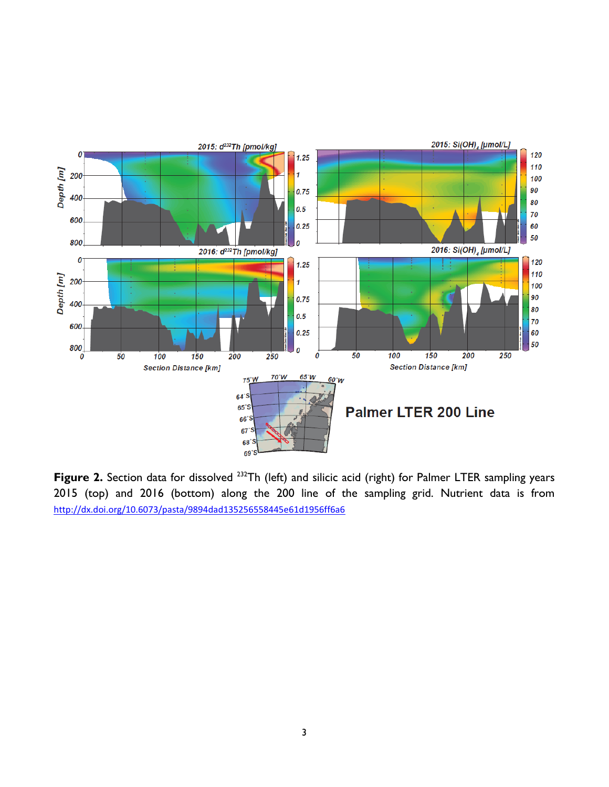

Figure 2. Section data for dissolved <sup>232</sup>Th (left) and silicic acid (right) for Palmer LTER sampling years 2015 (top) and 2016 (bottom) along the 200 line of the sampling grid. Nutrient data is from <http://dx.doi.org/10.6073/pasta/9894dad135256558445e61d1956ff6a6>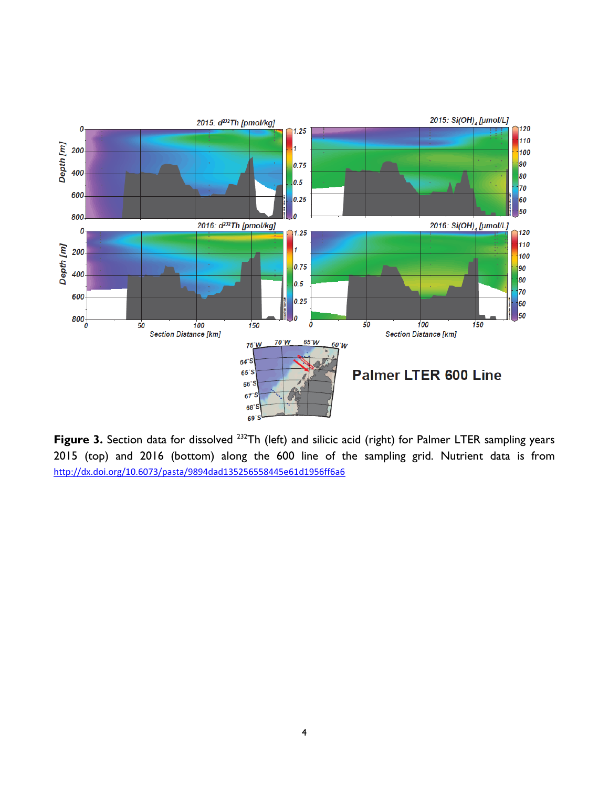

Figure 3. Section data for dissolved <sup>232</sup>Th (left) and silicic acid (right) for Palmer LTER sampling years 2015 (top) and 2016 (bottom) along the 600 line of the sampling grid. Nutrient data is from <http://dx.doi.org/10.6073/pasta/9894dad135256558445e61d1956ff6a6>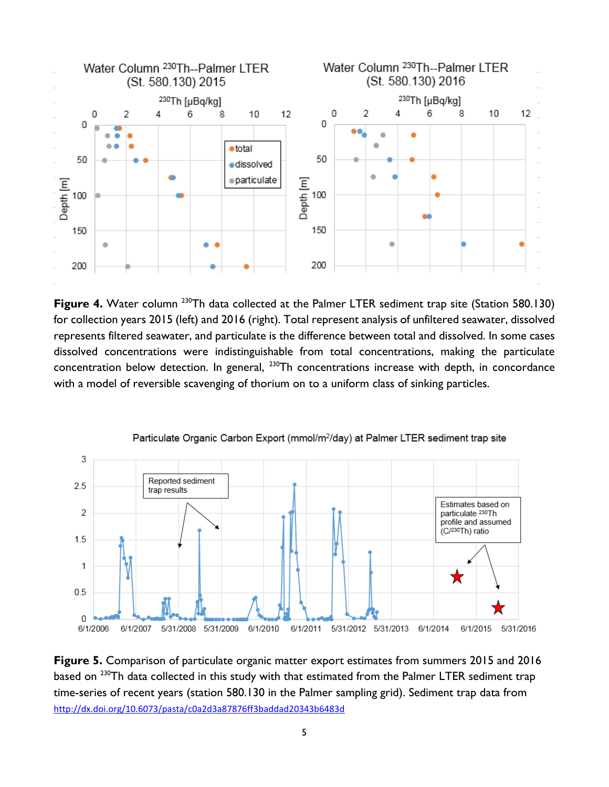

Figure 4. Water column <sup>230</sup>Th data collected at the Palmer LTER sediment trap site (Station 580.130) for collection years 2015 (left) and 2016 (right). Total represent analysis of unfiltered seawater, dissolved represents filtered seawater, and particulate is the difference between total and dissolved. In some cases dissolved concentrations were indistinguishable from total concentrations, making the particulate concentration below detection. In general, <sup>230</sup>Th concentrations increase with depth, in concordance with a model of reversible scavenging of thorium on to a uniform class of sinking particles.



Particulate Organic Carbon Export (mmol/m<sup>2</sup>/day) at Palmer LTER sediment trap site

**Figure 5.** Comparison of particulate organic matter export estimates from summers 2015 and 2016 based on <sup>230</sup>Th data collected in this study with that estimated from the Palmer LTER sediment trap time-series of recent years (station 580.130 in the Palmer sampling grid). Sediment trap data from <http://dx.doi.org/10.6073/pasta/c0a2d3a87876ff3baddad20343b6483d>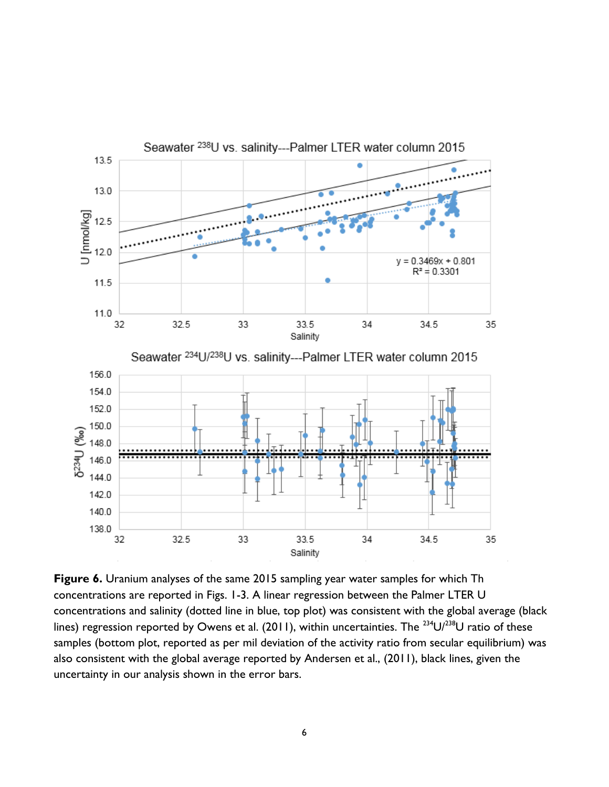

**Figure 6.** Uranium analyses of the same 2015 sampling year water samples for which Th concentrations are reported in Figs. 1-3. A linear regression between the Palmer LTER U concentrations and salinity (dotted line in blue, top plot) was consistent with the global average (black lines) regression reported by Owens et al. (2011), within uncertainties. The <sup>234</sup>U/<sup>238</sup>U ratio of these samples (bottom plot, reported as per mil deviation of the activity ratio from secular equilibrium) was also consistent with the global average reported by Andersen et al., (2011), black lines, given the uncertainty in our analysis shown in the error bars.